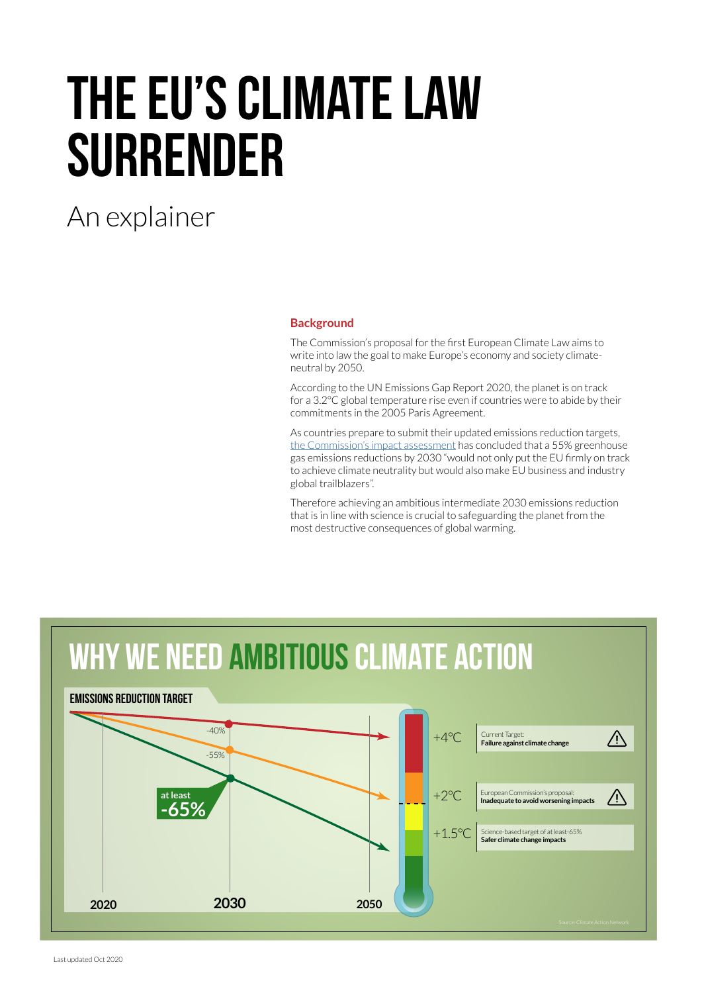# The EU's Climate Law **SURRENDER**

# An explainer

## **Background**

The Commission's proposal for the first European Climate Law aims to write into law the goal to make Europe's economy and society climateneutral by 2050.

According to the UN Emissions Gap Report 2020, the planet is on track for a 3.2°C global temperature rise even if countries were to abide by their commitments in the 2005 Paris Agreement.

As countries prepare to submit their updated emissions reduction targets, [the Commission's impact assessment](https://ec.europa.eu/clima/sites/clima/files/eu-climate-action/docs/com_2030_ctp_en.pdf) has concluded that a 55% greenhouse gas emissions reductions by 2030 "would not only put the EU firmly on track to achieve climate neutrality but would also make EU business and industry global trailblazers".

Therefore achieving an ambitious intermediate 2030 emissions reduction that is in line with science is crucial to safeguarding the planet from the most destructive consequences of global warming.